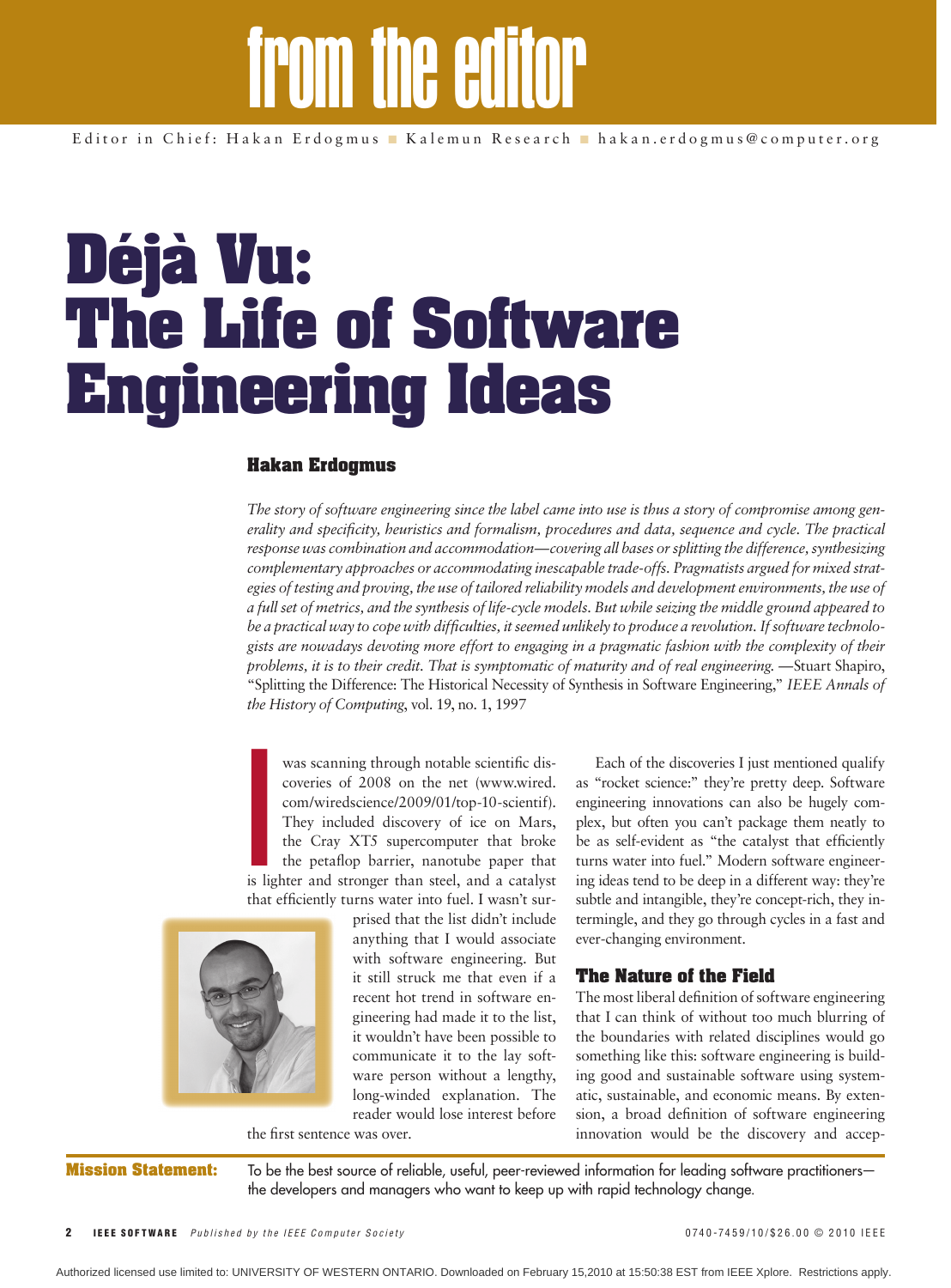# from the editor

## **Déjà Vu: The Life of Software Engineering Ideas**

### **Hakan Erdogmus**

*The story of software engineering since the label came into use is thus a story of compromise among generality and specificity, heuristics and formalism, procedures and data, sequence and cycle. The practical response was combination and accommodation—covering all bases or splitting the difference, synthesizing complementary approaches or accommodating inescapable trade-offs. Pragmatists argued for mixed strategies of testing and proving, the use of tailored reliability models and development environments, the use of a full set of metrics, and the synthesis of life-cycle models. But while seizing the middle ground appeared to be a practical way to cope with difficulties, it seemed unlikely to produce a revolution. If software technologists are nowadays devoting more effort to engaging in a pragmatic fashion with the complexity of their problems, it is to their credit. That is symptomatic of maturity and of real engineering. —*Stuart Shapiro, "Splitting the Difference: The Historical Necessity of Synthesis in Software Engineering," *IEEE Annals of the History of Computing*, vol. 19, no. 1, 1997

was scanning through notable scientific dis-<br>coveries of 2008 on the net (www.wired.<br>com/wiredscience/2009/01/top-10-scientif).<br>They included discovery of ice on Mars,<br>the Cray XT5 supercomputer that broke<br>the petaflop bar coveries of 2008 on the net (www.wired. com/wiredscience/2009/01/top-10-scientif). They included discovery of ice on Mars, the Cray XT5 supercomputer that broke the petaflop barrier, nanotube paper that is lighter and stronger than steel, and a catalyst that efficiently turns water into fuel. I wasn't sur-



prised that the list didn't include anything that I would associate with software engineering. But it still struck me that even if a recent hot trend in software engineering had made it to the list, it wouldn't have been possible to communicate it to the lay software person without a lengthy, long-winded explanation. The reader would lose interest before

the first sentence was over.

Each of the discoveries I just mentioned qualify as "rocket science:" they're pretty deep. Software engineering innovations can also be hugely complex, but often you can't package them neatly to be as self-evident as "the catalyst that efficiently turns water into fuel." Modern software engineering ideas tend to be deep in a different way: they're subtle and intangible, they're concept-rich, they intermingle, and they go through cycles in a fast and ever-changing environment.

### **The Nature of the Field**

The most liberal definition of software engineering that I can think of without too much blurring of the boundaries with related disciplines would go something like this: software engineering is building good and sustainable software using systematic, sustainable, and economic means. By extension, a broad definition of software engineering innovation would be the discovery and accep-

**Mission Statement:** To be the best source of reliable, useful, peer-reviewed information for leading software practitioners the developers and managers who want to keep up with rapid technology change.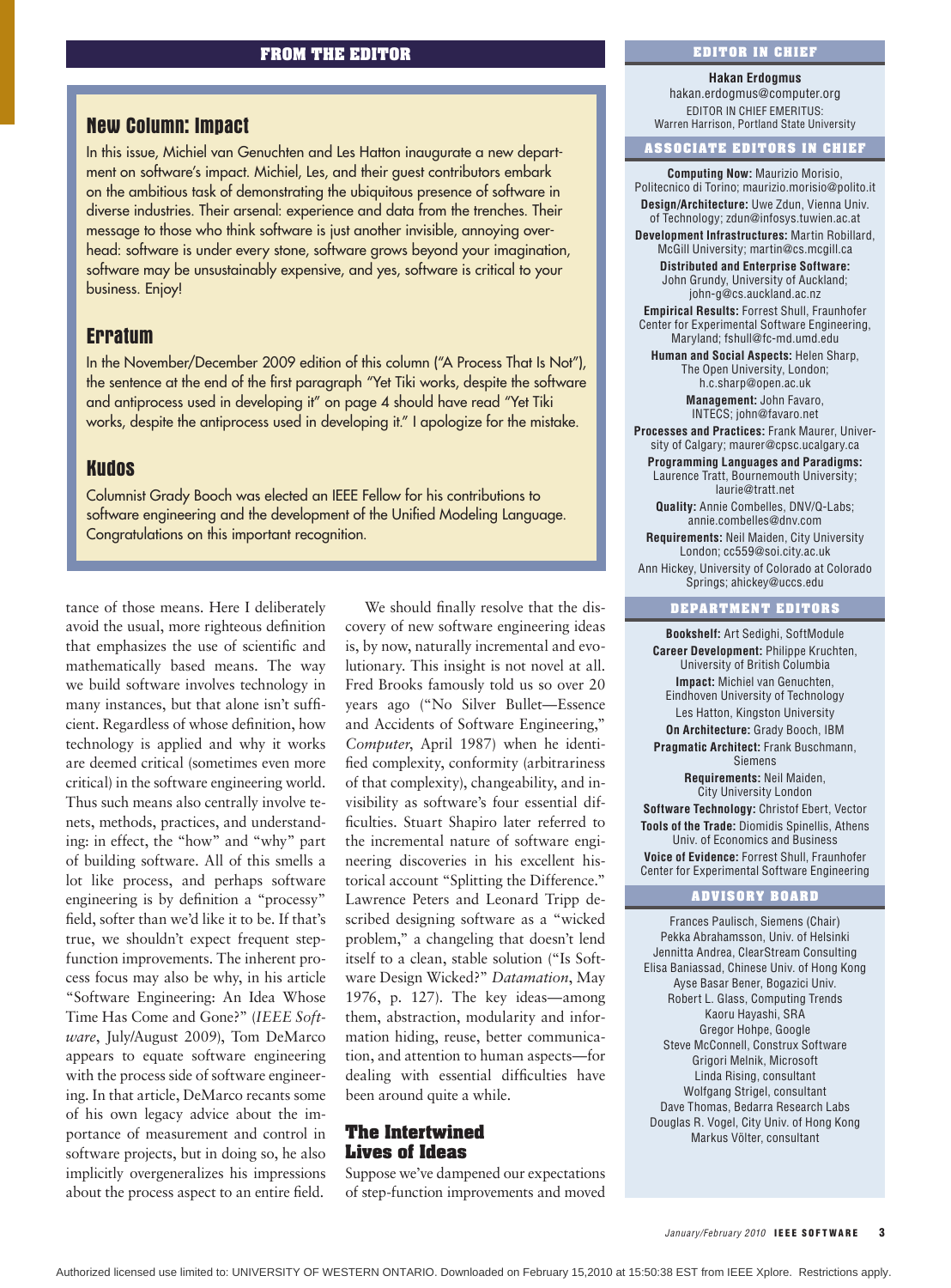#### **New Column: Impact**

In this issue, Michiel van Genuchten and Les Hatton inaugurate a new department on software's impact. Michiel, Les, and their guest contributors embark on the ambitious task of demonstrating the ubiquitous presence of software in diverse industries. Their arsenal: experience and data from the trenches. Their message to those who think software is just another invisible, annoying overhead: software is under every stone, software grows beyond your imagination, software may be unsustainably expensive, and yes, software is critical to your business. Enjoy!

#### **Erratum**

In the November/December 2009 edition of this column ("A Process That Is Not"), the sentence at the end of the first paragraph "Yet Tiki works, despite the software and antiprocess used in developing it" on page 4 should have read "Yet Tiki works, despite the antiprocess used in developing it." I apologize for the mistake.

#### **Kudos**

Columnist Grady Booch was elected an IEEE Fellow for his contributions to software engineering and the development of the Unified Modeling Language. Congratulations on this important recognition.

tance of those means. Here I deliberately avoid the usual, more righteous definition that emphasizes the use of scientific and mathematically based means. The way we build software involves technology in many instances, but that alone isn't sufficient. Regardless of whose definition, how technology is applied and why it works are deemed critical (sometimes even more critical) in the software engineering world. Thus such means also centrally involve tenets, methods, practices, and understanding: in effect, the "how" and "why" part of building software. All of this smells a lot like process, and perhaps software engineering is by definition a "processy" field, softer than we'd like it to be. If that's true, we shouldn't expect frequent stepfunction improvements. The inherent process focus may also be why, in his article "Software Engineering: An Idea Whose Time Has Come and Gone?" (*IEEE Software*, July/August 2009), Tom DeMarco appears to equate software engineering with the process side of software engineering. In that article, DeMarco recants some of his own legacy advice about the importance of measurement and control in software projects, but in doing so, he also implicitly overgeneralizes his impressions about the process aspect to an entire field.

We should finally resolve that the discovery of new software engineering ideas is, by now, naturally incremental and evolutionary. This insight is not novel at all. Fred Brooks famously told us so over 20 years ago ("No Silver Bullet—Essence and Accidents of Software Engineering," *Computer*, April 1987) when he identified complexity, conformity (arbitrariness of that complexity), changeability, and invisibility as software's four essential difficulties. Stuart Shapiro later referred to the incremental nature of software engineering discoveries in his excellent historical account "Splitting the Difference." Lawrence Peters and Leonard Tripp described designing software as a "wicked problem," a changeling that doesn't lend itself to a clean, stable solution ("Is Software Design Wicked?" *Datamation*, May 1976, p. 127). The key ideas—among them, abstraction, modularity and information hiding, reuse, better communication, and attention to human aspects—for dealing with essential difficulties have been around quite a while.

### **The Intertwined Lives of Ideas**

Suppose we've dampened our expectations of step-function improvements and moved

**Hakan Erdogmus** hakan.erdogmus@computer.org EDITOR IN CHIEF EMERITUS: Warren Harrison, Portland State University

#### **ASSOCIATE EDITORS IN CHIEF**

**Computing Now:** Maurizio Morisio, Politecnico di Torino; maurizio.morisio@polito.it **Design/Architecture:** Uwe Zdun, Vienna Univ. of Technology; zdun@infosys.tuwien.ac.at

**Development Infrastructures:** Martin Robillard, McGill University; martin@cs.mcgill.ca

**Distributed and Enterprise Software:** John Grundy, University of Auckland; john-g@cs.auckland.ac.nz

**Empirical Results:** Forrest Shull, Fraunhofer Center for Experimental Software Engineering, Maryland; fshull@fc-md.umd.edu

**Human and Social Aspects:** Helen Sharp, The Open University, London; h.c.sharp@open.ac.uk

**Management:** John Favaro, INTECS; john@favaro.net

**Processes and Practices:** Frank Maurer, University of Calgary; maurer@cpsc.ucalgary.ca

**Programming Languages and Paradigms:**  Laurence Tratt, Bournemouth University; laurie@tratt.net

**Quality:** Annie Combelles, DNV/Q-Labs; annie.combelles@dnv.com

**Requirements:** Neil Maiden, City University London; cc559@soi.city.ac.uk Ann Hickey, University of Colorado at Colorado Springs; ahickey@uccs.edu

#### **DEPARTMENT EDITORS**

**Bookshelf:** Art Sedighi, SoftModule **Career Development:** Philippe Kruchten, University of British Columbia **Impact:** Michiel van Genuchten, Eindhoven University of Technology Les Hatton, Kingston University **On Architecture:** Grady Booch, IBM **Pragmatic Architect:** Frank Buschmann, Siemens **Requirements:** Neil Maiden, City University London **Software Technology:** Christof Ebert, Vector **Tools of the Trade:** Diomidis Spinellis, Athens Univ. of Economics and Business **Voice of Evidence:** Forrest Shull, Fraunhofer Center for Experimental Software Engineering

#### **A D V I S OR Y B O A R D**

Frances Paulisch, Siemens (Chair) Pekka Abrahamsson, Univ. of Helsinki Jennitta Andrea, ClearStream Consulting Elisa Baniassad, Chinese Univ. of Hong Kong Ayse Basar Bener, Bogazici Univ. Robert L. Glass, Computing Trends Kaoru Hayashi, SRA Gregor Hohpe, Google Steve McConnell, Construx Software Grigori Melnik, Microsoft Linda Rising, consultant Wolfgang Strigel, consultant Dave Thomas, Bedarra Research Labs Douglas R. Vogel, City Univ. of Hong Kong Markus Völter, consultant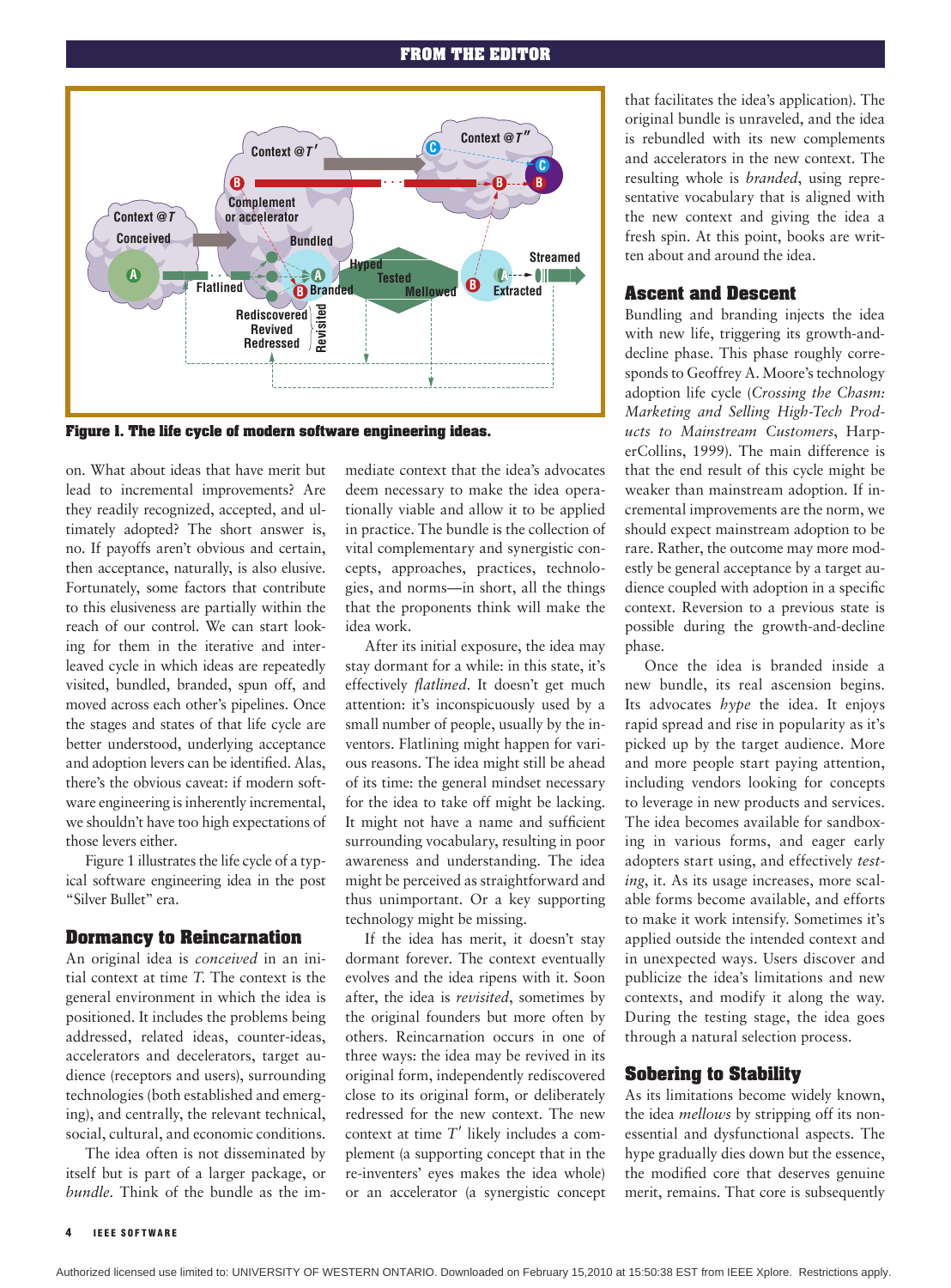#### **FROM THE EDITOR**



**Figure 1. The life cycle of modern software engineering ideas.**

on. What about ideas that have merit but lead to incremental improvements? Are they readily recognized, accepted, and ultimately adopted? The short answer is, no. If payoffs aren't obvious and certain, then acceptance, naturally, is also elusive. Fortunately, some factors that contribute to this elusiveness are partially within the reach of our control. We can start looking for them in the iterative and interleaved cycle in which ideas are repeatedly visited, bundled, branded, spun off, and moved across each other's pipelines. Once the stages and states of that life cycle are better understood, underlying acceptance and adoption levers can be identified. Alas, there's the obvious caveat: if modern software engineering is inherently incremental, we shouldn't have too high expectations of those levers either.

Figure 1 illustrates the life cycle of a typical software engineering idea in the post "Silver Bullet" era.

#### **Dormancy to Reincarnation**

An original idea is *conceived* in an initial context at time *T*. The context is the general environment in which the idea is positioned. It includes the problems being addressed, related ideas, counter-ideas, accelerators and decelerators, target audience (receptors and users), surrounding technologies (both established and emerging), and centrally, the relevant technical, social, cultural, and economic conditions.

The idea often is not disseminated by itself but is part of a larger package, or *bundle*. Think of the bundle as the immediate context that the idea's advocates deem necessary to make the idea operationally viable and allow it to be applied in practice. The bundle is the collection of vital complementary and synergistic concepts, approaches, practices, technologies, and norms—in short, all the things that the proponents think will make the idea work.

After its initial exposure, the idea may stay dormant for a while: in this state, it's effectively *flatlined*. It doesn't get much attention: it's inconspicuously used by a small number of people, usually by the inventors. Flatlining might happen for various reasons. The idea might still be ahead of its time: the general mindset necessary for the idea to take off might be lacking. It might not have a name and sufficient surrounding vocabulary, resulting in poor awareness and understanding. The idea might be perceived as straightforward and thus unimportant. Or a key supporting technology might be missing.

If the idea has merit, it doesn't stay dormant forever. The context eventually evolves and the idea ripens with it. Soon after, the idea is *revisited*, sometimes by the original founders but more often by others. Reincarnation occurs in one of three ways: the idea may be revived in its original form, independently rediscovered close to its original form, or deliberately redressed for the new context. The new context at time *T*′ likely includes a complement (a supporting concept that in the re-inventers' eyes makes the idea whole) or an accelerator (a synergistic concept that facilitates the idea's application). The original bundle is unraveled, and the idea is rebundled with its new complements and accelerators in the new context. The resulting whole is *branded*, using representative vocabulary that is aligned with the new context and giving the idea a fresh spin. At this point, books are written about and around the idea.

#### **Ascent and Descent**

Bundling and branding injects the idea with new life, triggering its growth-anddecline phase. This phase roughly corresponds to Geoffrey A. Moore's technology adoption life cycle (*Crossing the Chasm: Marketing and Selling High-Tech Products to Mainstream Customers*, HarperCollins, 1999). The main difference is that the end result of this cycle might be weaker than mainstream adoption. If incremental improvements are the norm, we should expect mainstream adoption to be rare. Rather, the outcome may more modestly be general acceptance by a target audience coupled with adoption in a specific context. Reversion to a previous state is possible during the growth-and-decline phase.

Once the idea is branded inside a new bundle, its real ascension begins. Its advocates *hype* the idea. It enjoys rapid spread and rise in popularity as it's picked up by the target audience. More and more people start paying attention, including vendors looking for concepts to leverage in new products and services. The idea becomes available for sandboxing in various forms, and eager early adopters start using, and effectively *testing*, it. As its usage increases, more scalable forms become available, and efforts to make it work intensify. Sometimes it's applied outside the intended context and in unexpected ways. Users discover and publicize the idea's limitations and new contexts, and modify it along the way. During the testing stage, the idea goes through a natural selection process.

#### **Sobering to Stability**

As its limitations become widely known, the idea *mellows* by stripping off its nonessential and dysfunctional aspects. The hype gradually dies down but the essence, the modified core that deserves genuine merit, remains. That core is subsequently